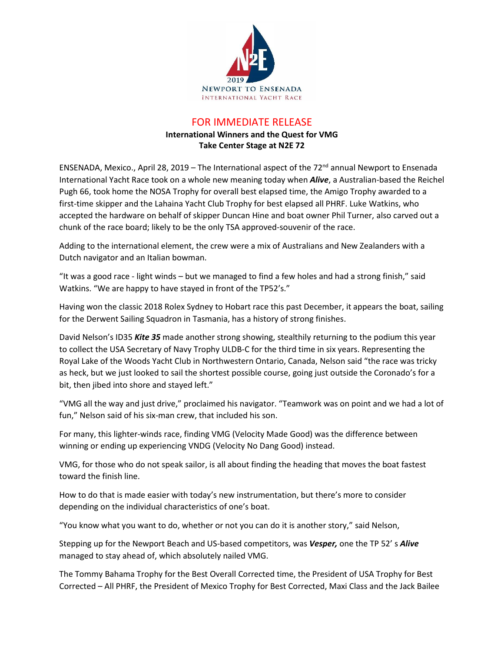

## FOR IMMEDIATE RELEASE

## **International Winners and the Quest for VMG Take Center Stage at N2E 72**

ENSENADA, Mexico., April 28, 2019 – The International aspect of the 72<sup>nd</sup> annual Newport to Ensenada International Yacht Race took on a whole new meaning today when *Alive*, a Australian-based the Reichel Pugh 66, took home the NOSA Trophy for overall best elapsed time, the Amigo Trophy awarded to a first-time skipper and the Lahaina Yacht Club Trophy for best elapsed all PHRF. Luke Watkins, who accepted the hardware on behalf of skipper Duncan Hine and boat owner Phil Turner, also carved out a chunk of the race board; likely to be the only TSA approved-souvenir of the race.

Adding to the international element, the crew were a mix of Australians and New Zealanders with a Dutch navigator and an Italian bowman.

"It was a good race - light winds – but we managed to find a few holes and had a strong finish," said Watkins. "We are happy to have stayed in front of the TP52's."

Having won the classic 2018 Rolex Sydney to Hobart race this past December, it appears the boat, sailing for the Derwent Sailing Squadron in Tasmania, has a history of strong finishes.

David Nelson's ID35 *Kite 35* made another strong showing, stealthily returning to the podium this year to collect the USA Secretary of Navy Trophy ULDB-C for the third time in six years. Representing the Royal Lake of the Woods Yacht Club in Northwestern Ontario, Canada, Nelson said "the race was tricky as heck, but we just looked to sail the shortest possible course, going just outside the Coronado's for a bit, then jibed into shore and stayed left."

"VMG all the way and just drive," proclaimed his navigator. "Teamwork was on point and we had a lot of fun," Nelson said of his six-man crew, that included his son.

For many, this lighter-winds race, finding VMG (Velocity Made Good) was the difference between winning or ending up experiencing VNDG (Velocity No Dang Good) instead.

VMG, for those who do not speak sailor, is all about finding the heading that moves the boat fastest toward the finish line.

How to do that is made easier with today's new instrumentation, but there's more to consider depending on the individual characteristics of one's boat.

"You know what you want to do, whether or not you can do it is another story," said Nelson,

Stepping up for the Newport Beach and US-based competitors, was *Vesper,* one the TP 52' s *Alive* managed to stay ahead of, which absolutely nailed VMG.

The Tommy Bahama Trophy for the Best Overall Corrected time, the President of USA Trophy for Best Corrected – All PHRF, the President of Mexico Trophy for Best Corrected, Maxi Class and the Jack Bailee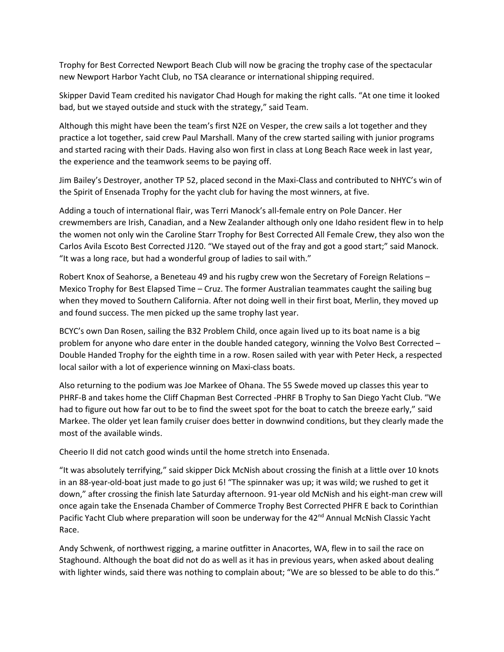Trophy for Best Corrected Newport Beach Club will now be gracing the trophy case of the spectacular new Newport Harbor Yacht Club, no TSA clearance or international shipping required.

Skipper David Team credited his navigator Chad Hough for making the right calls. "At one time it looked bad, but we stayed outside and stuck with the strategy," said Team.

Although this might have been the team's first N2E on Vesper, the crew sails a lot together and they practice a lot together, said crew Paul Marshall. Many of the crew started sailing with junior programs and started racing with their Dads. Having also won first in class at Long Beach Race week in last year, the experience and the teamwork seems to be paying off.

Jim Bailey's Destroyer, another TP 52, placed second in the Maxi-Class and contributed to NHYC's win of the Spirit of Ensenada Trophy for the yacht club for having the most winners, at five.

Adding a touch of international flair, was Terri Manock's all-female entry on Pole Dancer. Her crewmembers are Irish, Canadian, and a New Zealander although only one Idaho resident flew in to help the women not only win the Caroline Starr Trophy for Best Corrected All Female Crew, they also won the Carlos Avila Escoto Best Corrected J120. "We stayed out of the fray and got a good start;" said Manock. "It was a long race, but had a wonderful group of ladies to sail with."

Robert Knox of Seahorse, a Beneteau 49 and his rugby crew won the Secretary of Foreign Relations – Mexico Trophy for Best Elapsed Time – Cruz. The former Australian teammates caught the sailing bug when they moved to Southern California. After not doing well in their first boat, Merlin, they moved up and found success. The men picked up the same trophy last year.

BCYC's own Dan Rosen, sailing the B32 Problem Child, once again lived up to its boat name is a big problem for anyone who dare enter in the double handed category, winning the Volvo Best Corrected – Double Handed Trophy for the eighth time in a row. Rosen sailed with year with Peter Heck, a respected local sailor with a lot of experience winning on Maxi-class boats.

Also returning to the podium was Joe Markee of Ohana. The 55 Swede moved up classes this year to PHRF-B and takes home the Cliff Chapman Best Corrected -PHRF B Trophy to San Diego Yacht Club. "We had to figure out how far out to be to find the sweet spot for the boat to catch the breeze early," said Markee. The older yet lean family cruiser does better in downwind conditions, but they clearly made the most of the available winds.

Cheerio II did not catch good winds until the home stretch into Ensenada.

"It was absolutely terrifying," said skipper Dick McNish about crossing the finish at a little over 10 knots in an 88-year-old-boat just made to go just 6! "The spinnaker was up; it was wild; we rushed to get it down," after crossing the finish late Saturday afternoon. 91-year old McNish and his eight-man crew will once again take the Ensenada Chamber of Commerce Trophy Best Corrected PHFR E back to Corinthian Pacific Yacht Club where preparation will soon be underway for the 42<sup>nd</sup> Annual McNish Classic Yacht Race.

Andy Schwenk, of northwest rigging, a marine outfitter in Anacortes, WA, flew in to sail the race on Staghound. Although the boat did not do as well as it has in previous years, when asked about dealing with lighter winds, said there was nothing to complain about; "We are so blessed to be able to do this."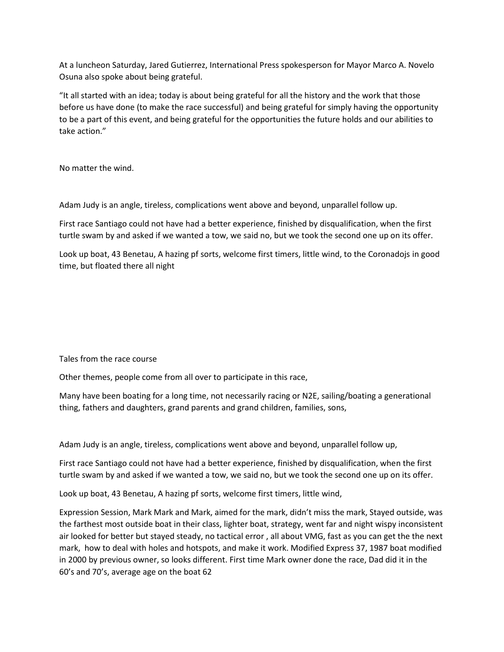At a luncheon Saturday, Jared Gutierrez, International Press spokesperson for Mayor Marco A. Novelo Osuna also spoke about being grateful.

"It all started with an idea; today is about being grateful for all the history and the work that those before us have done (to make the race successful) and being grateful for simply having the opportunity to be a part of this event, and being grateful for the opportunities the future holds and our abilities to take action."

No matter the wind.

Adam Judy is an angle, tireless, complications went above and beyond, unparallel follow up.

First race Santiago could not have had a better experience, finished by disqualification, when the first turtle swam by and asked if we wanted a tow, we said no, but we took the second one up on its offer.

Look up boat, 43 Benetau, A hazing pf sorts, welcome first timers, little wind, to the Coronadojs in good time, but floated there all night

Tales from the race course

Other themes, people come from all over to participate in this race,

Many have been boating for a long time, not necessarily racing or N2E, sailing/boating a generational thing, fathers and daughters, grand parents and grand children, families, sons,

Adam Judy is an angle, tireless, complications went above and beyond, unparallel follow up,

First race Santiago could not have had a better experience, finished by disqualification, when the first turtle swam by and asked if we wanted a tow, we said no, but we took the second one up on its offer.

Look up boat, 43 Benetau, A hazing pf sorts, welcome first timers, little wind,

Expression Session, Mark Mark and Mark, aimed for the mark, didn't miss the mark, Stayed outside, was the farthest most outside boat in their class, lighter boat, strategy, went far and night wispy inconsistent air looked for better but stayed steady, no tactical error , all about VMG, fast as you can get the the next mark, how to deal with holes and hotspots, and make it work. Modified Express 37, 1987 boat modified in 2000 by previous owner, so looks different. First time Mark owner done the race, Dad did it in the 60's and 70's, average age on the boat 62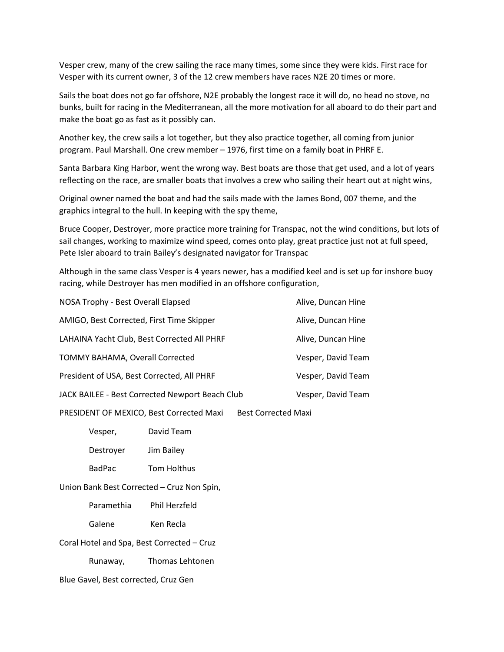Vesper crew, many of the crew sailing the race many times, some since they were kids. First race for Vesper with its current owner, 3 of the 12 crew members have races N2E 20 times or more.

Sails the boat does not go far offshore, N2E probably the longest race it will do, no head no stove, no bunks, built for racing in the Mediterranean, all the more motivation for all aboard to do their part and make the boat go as fast as it possibly can.

Another key, the crew sails a lot together, but they also practice together, all coming from junior program. Paul Marshall. One crew member – 1976, first time on a family boat in PHRF E.

Santa Barbara King Harbor, went the wrong way. Best boats are those that get used, and a lot of years reflecting on the race, are smaller boats that involves a crew who sailing their heart out at night wins,

Original owner named the boat and had the sails made with the James Bond, 007 theme, and the graphics integral to the hull. In keeping with the spy theme,

Bruce Cooper, Destroyer, more practice more training for Transpac, not the wind conditions, but lots of sail changes, working to maximize wind speed, comes onto play, great practice just not at full speed, Pete Isler aboard to train Bailey's designated navigator for Transpac

Although in the same class Vesper is 4 years newer, has a modified keel and is set up for inshore buoy racing, while Destroyer has men modified in an offshore configuration,

| NOSA Trophy - Best Overall Elapsed              | Alive, Duncan Hine |
|-------------------------------------------------|--------------------|
| AMIGO, Best Corrected, First Time Skipper       | Alive, Duncan Hine |
| LAHAINA Yacht Club, Best Corrected All PHRF     | Alive, Duncan Hine |
| TOMMY BAHAMA, Overall Corrected                 | Vesper, David Team |
| President of USA, Best Corrected, All PHRF      | Vesper, David Team |
| JACK BAILEE - Best Corrected Newport Beach Club | Vesper, David Team |
|                                                 |                    |

PRESIDENT OF MEXICO, Best Corrected Maxi Best Corrected Maxi

Vesper, David Team

Destroyer Jim Bailey

BadPac Tom Holthus

Union Bank Best Corrected – Cruz Non Spin,

Paramethia Phil Herzfeld

Galene Ken Recla

Coral Hotel and Spa, Best Corrected – Cruz

Runaway, Thomas Lehtonen

Blue Gavel, Best corrected, Cruz Gen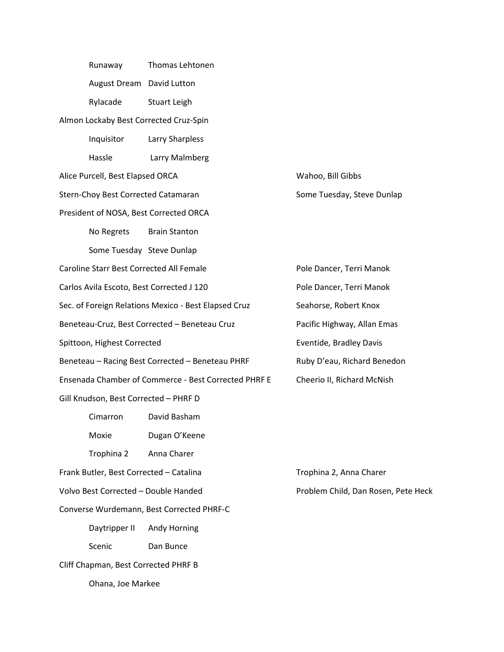Runaway Thomas Lehtonen August Dream David Lutton Rylacade Stuart Leigh Almon Lockaby Best Corrected Cruz-Spin Inquisitor Larry Sharpless Hassle Larry Malmberg Alice Purcell, Best Elapsed ORCA Wahoo, Bill Gibbs Stern-Choy Best Corrected Catamaran Some Tuesday, Steve Dunlap President of NOSA, Best Corrected ORCA No Regrets Brain Stanton Some Tuesday Steve Dunlap Caroline Starr Best Corrected All Female Pole Dancer, Terri Manok Carlos Avila Escoto, Best Corrected J 120 Pole Dancer, Terri Manok Sec. of Foreign Relations Mexico - Best Elapsed Cruz Seahorse, Robert Knox Beneteau-Cruz, Best Corrected – Beneteau Cruz Pacific Highway, Allan Emas Spittoon, Highest Corrected **Exercise Eventide, Bradley Davis** Beneteau – Racing Best Corrected – Beneteau PHRF Ruby D'eau, Richard Benedon Ensenada Chamber of Commerce - Best Corrected PHRF E Cheerio II, Richard McNish Gill Knudson, Best Corrected – PHRF D Cimarron David Basham Moxie Dugan O'Keene Trophina 2 Anna Charer Frank Butler, Best Corrected – Catalina Trophina 2, Anna Charer Volvo Best Corrected – Double Handed Problem Child, Dan Rosen, Pete Heck Converse Wurdemann, Best Corrected PHRF-C Daytripper II Andy Horning Scenic Dan Bunce Cliff Chapman, Best Corrected PHRF B Ohana, Joe Markee